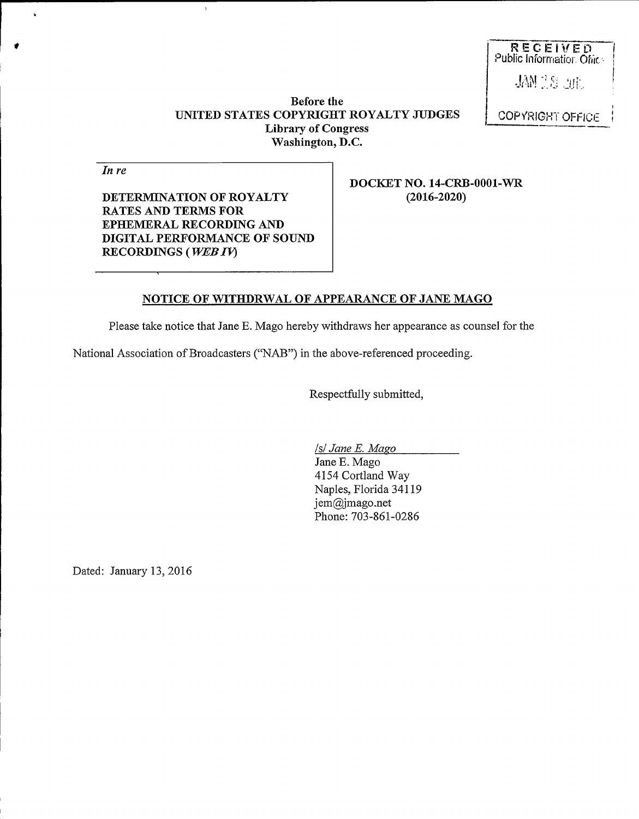RECEIVED Public Inforrnatior, Ofiit;-

JAN 18 Jul

## Before the UNITED STATES COPYRIGHT ROYALTY JUDGES Library of Congress Washington, D.C.

COPYRIGHT OFFICE

In re

 $\mathbf{r}$ 

DETERMINATION OF ROYALTY RATES AND TERMS FOR EPHEMERAL RECORDING AND DIGITAL PERFORMANCE OF SOUND RECORDINGS (WEBIV)

 $\overline{1}$ 

DOCKET NO. 14-CRB-0001-WR (2016-2020)

## NOTICE OF WITHDRWAL OF APPEARANCE OF JANE MAGO

Please take notice that Jane E. Mago hereby withdraws her appearance as counsel for the

National Association of Broadcasters ("NAB") in the above-referenced proceeding.

Respectfully submitted,

Isl Jane E. Mago

Jane E. Mago 4154 Cortland Way Naples, Florida 34119 jem@jmago.net Phone: 703-S61-02S6

Dated: January 13, 2016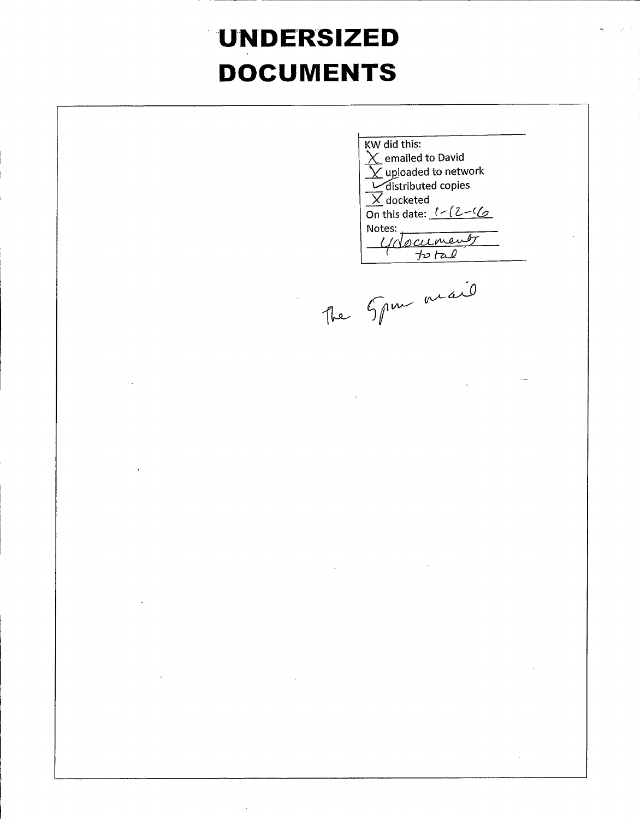## **UNDERSIZED DOCUMENTS**

KW did this:  $\overline{\chi}$  emailed to David  $\overline{\mathbf{Y}}$  uploaded to network distributed copies  $\overline{X}$  docketed On this date:  $1 - (2 - 16)$ Notes:<br>Unocument  $\sqrt{1-\frac{1}{2}}$ The 5pm mail

 $\ddot{\phantom{a}}$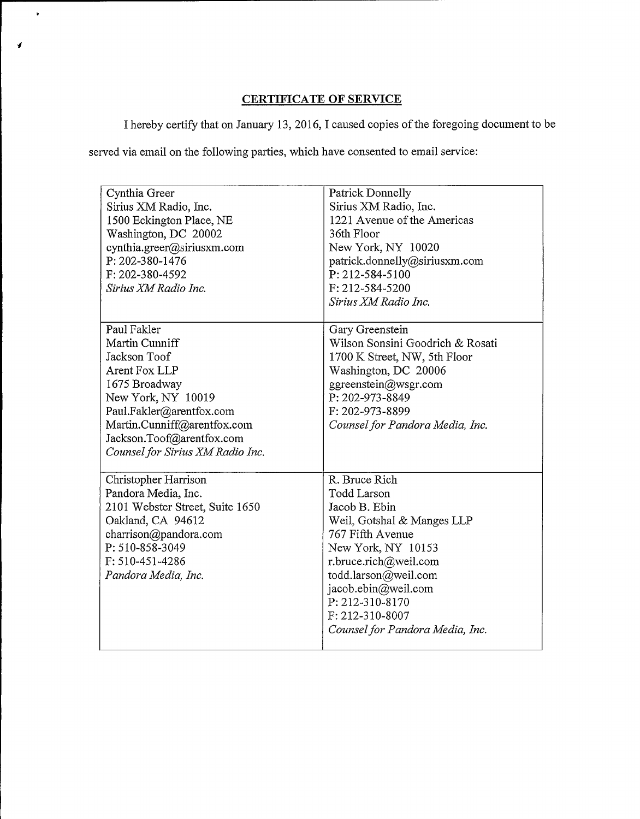## CERTIFICATE OF SERVICE

I hereby certify that on January 13, 2016, I caused copies ofthe foregoing document to be

served via email on the following parties, which have consented to email service:

 $\mathbf{r}$ 

| Cynthia Greer<br>Sirius XM Radio, Inc.<br>1500 Eckington Place, NE<br>Washington, DC 20002<br>cynthia.greer@siriusxm.com<br>P: 202-380-1476<br>F: 202-380-4592<br>Sirius XM Radio Inc.                             | <b>Patrick Donnelly</b><br>Sirius XM Radio, Inc.<br>1221 Avenue of the Americas<br>36th Floor<br>New York, NY 10020<br>patrick.donnelly@siriusxm.com<br>P: 212-584-5100<br>F: 212-584-5200                                                                                    |
|--------------------------------------------------------------------------------------------------------------------------------------------------------------------------------------------------------------------|-------------------------------------------------------------------------------------------------------------------------------------------------------------------------------------------------------------------------------------------------------------------------------|
| Paul Fakler                                                                                                                                                                                                        | Sirius XM Radio Inc.<br>Gary Greenstein                                                                                                                                                                                                                                       |
| Martin Cunniff<br>Jackson Toof<br>Arent Fox LLP<br>1675 Broadway<br>New York, NY 10019<br>Paul.Fakler@arentfox.com<br>Martin.Cunniff@arentfox.com<br>Jackson.Toof@arentfox.com<br>Counsel for Sirius XM Radio Inc. | Wilson Sonsini Goodrich & Rosati<br>1700 K Street, NW, 5th Floor<br>Washington, DC 20006<br>ggreenstein@wsgr.com<br>P: 202-973-8849<br>F: 202-973-8899<br>Counsel for Pandora Media, Inc.                                                                                     |
| Christopher Harrison<br>Pandora Media, Inc.<br>2101 Webster Street, Suite 1650<br>Oakland, CA 94612<br>charrison@pandora.com<br>P: 510-858-3049<br>F: 510-451-4286<br>Pandora Media, Inc.                          | R. Bruce Rich<br><b>Todd Larson</b><br>Jacob B. Ebin<br>Weil, Gotshal & Manges LLP<br>767 Fifth Avenue<br>New York, NY 10153<br>r.bruce.rich@weil.com<br>todd.larson@weil.com<br>jacob.ebin@weil.com<br>P: 212-310-8170<br>F: 212-310-8007<br>Counsel for Pandora Media, Inc. |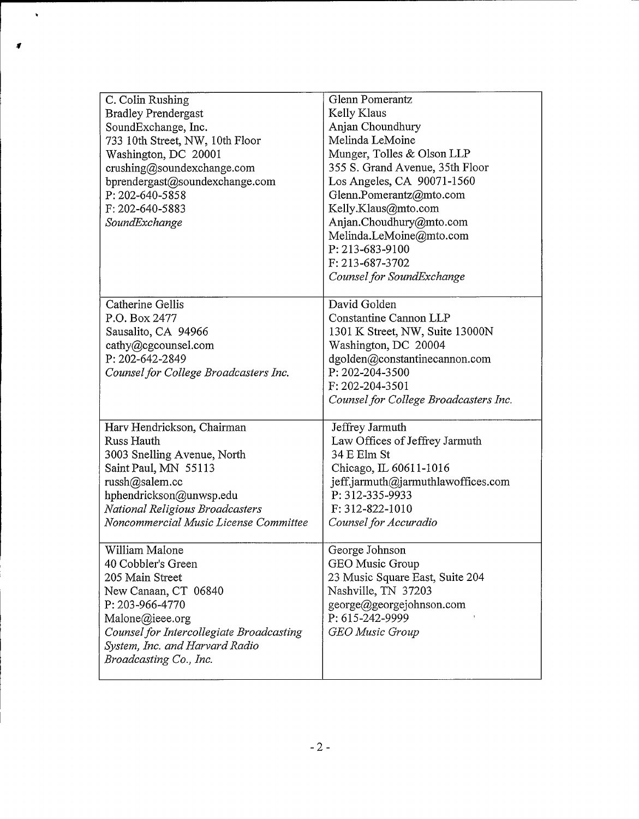| C. Colin Rushing<br><b>Bradley Prendergast</b><br>SoundExchange, Inc.<br>733 10th Street, NW, 10th Floor<br>Washington, DC 20001<br>crushing@soundexchange.com<br>bprendergast@soundexchange.com<br>P: 202-640-5858           | Glenn Pomerantz<br>Kelly Klaus<br>Anjan Choundhury<br>Melinda LeMoine<br>Munger, Tolles & Olson LLP<br>355 S. Grand Avenue, 35th Floor<br>Los Angeles, CA 90071-1560<br>Glenn.Pomerantz@mto.com                   |
|-------------------------------------------------------------------------------------------------------------------------------------------------------------------------------------------------------------------------------|-------------------------------------------------------------------------------------------------------------------------------------------------------------------------------------------------------------------|
| F: 202-640-5883<br>SoundExchange                                                                                                                                                                                              | Kelly.Klaus@mto.com<br>Anjan.Choudhury@mto.com<br>Melinda.LeMoine@mto.com<br>P: 213-683-9100<br>F: 213-687-3702<br>Counsel for SoundExchange                                                                      |
| Catherine Gellis<br>P.O. Box 2477<br>Sausalito, CA 94966<br>cathy@cgcounsel.com<br>P: 202-642-2849<br>Counsel for College Broadcasters Inc.                                                                                   | David Golden<br>Constantine Cannon LLP<br>1301 K Street, NW, Suite 13000N<br>Washington, DC 20004<br>dgolden@constantinecannon.com<br>P: 202-204-3500<br>F: 202-204-3501<br>Counsel for College Broadcasters Inc. |
| Harv Hendrickson, Chairman<br>Russ Hauth<br>3003 Snelling Avenue, North<br>Saint Paul, MN 55113<br>russh@salem.cc<br>hphendrickson@unwsp.edu<br>National Religious Broadcasters<br>Noncommercial Music License Committee      | Jeffrey Jarmuth<br>Law Offices of Jeffrey Jarmuth<br>34 E Elm St<br>Chicago, IL 60611-1016<br>jeff.jarmuth@jarmuthlawoffices.com<br>P: 312-335-9933<br>F: 312-822-1010<br>Counsel for Accuradio                   |
| William Malone<br>40 Cobbler's Green<br>205 Main Street<br>New Canaan, CT 06840<br>P: 203-966-4770<br>Malone@ieee.org<br>Counsel for Intercollegiate Broadcasting<br>System, Inc. and Harvard Radio<br>Broadcasting Co., Inc. | George Johnson<br>GEO Music Group<br>23 Music Square East, Suite 204<br>Nashville, TN 37203<br>george@georgejohnson.com<br>P: 615-242-9999<br><b>GEO</b> Music Group                                              |

 $\ddot{\phantom{0}}$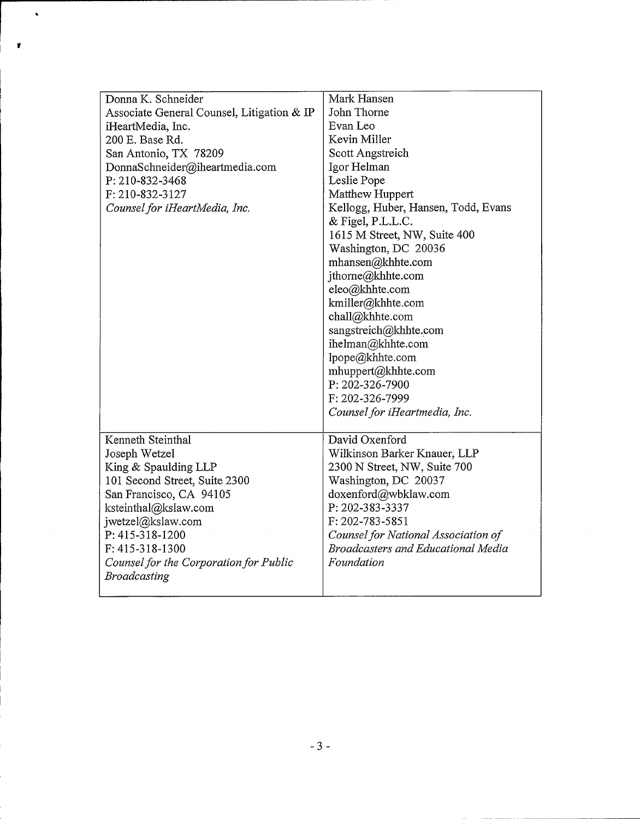| Donna K. Schneider<br>Associate General Counsel, Litigation & IP<br>iHeartMedia, Inc. | Mark Hansen<br>John Thorne<br>Evan Leo    |
|---------------------------------------------------------------------------------------|-------------------------------------------|
| 200 E. Base Rd.                                                                       | Kevin Miller                              |
| San Antonio, TX 78209                                                                 | Scott Angstreich                          |
| DonnaSchneider@iheartmedia.com                                                        | Igor Helman                               |
| P: 210-832-3468                                                                       | Leslie Pope                               |
| F: 210-832-3127                                                                       | Matthew Huppert                           |
| Counsel for iHeartMedia, Inc.                                                         | Kellogg, Huber, Hansen, Todd, Evans       |
|                                                                                       | & Figel, P.L.L.C.                         |
|                                                                                       | 1615 M Street, NW, Suite 400              |
|                                                                                       | Washington, DC 20036                      |
|                                                                                       | mhansen@khhte.com                         |
|                                                                                       | jthorne@khhte.com                         |
|                                                                                       | eleo@khhte.com                            |
|                                                                                       | kmiller@khhte.com                         |
|                                                                                       | chall@khhte.com                           |
|                                                                                       | sangstreich@khhte.com                     |
|                                                                                       | ihelman@khhte.com                         |
|                                                                                       | lpope@khhte.com                           |
|                                                                                       | mhuppert@khhte.com                        |
|                                                                                       | P: 202-326-7900                           |
|                                                                                       | F: 202-326-7999                           |
|                                                                                       | Counsel for iHeartmedia, Inc.             |
|                                                                                       |                                           |
| Kenneth Steinthal                                                                     | David Oxenford                            |
| Joseph Wetzel                                                                         | Wilkinson Barker Knauer, LLP              |
| King & Spaulding LLP                                                                  | 2300 N Street, NW, Suite 700              |
| 101 Second Street, Suite 2300                                                         | Washington, DC 20037                      |
| San Francisco, CA 94105                                                               | doxenford@wbklaw.com                      |
| ksteinthal@kslaw.com                                                                  | P: 202-383-3337                           |
| jwetzel@kslaw.com                                                                     | F: 202-783-5851                           |
| P: 415-318-1200                                                                       | Counsel for National Association of       |
| F: 415-318-1300                                                                       | <b>Broadcasters and Educational Media</b> |
| Counsel for the Corporation for Public                                                | Foundation                                |
| Broadcasting                                                                          |                                           |
|                                                                                       |                                           |

 $\tilde{\textbf{z}}$ 

 $\bullet$